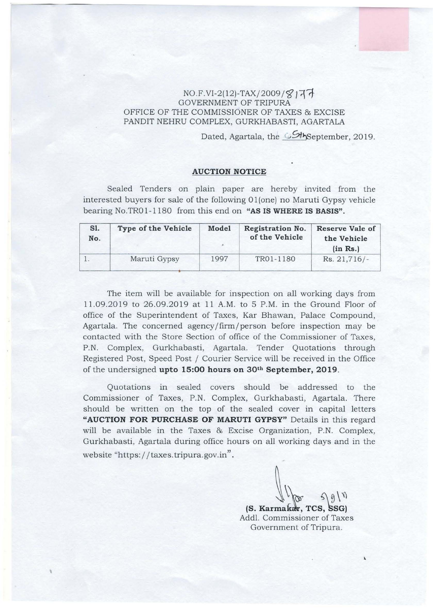## $NO.F.VI-2(12)-TAX/2009/S177$ GOVERNMENT OF TRIPURA OFFICE OF THE COMMISSIONER OF TAXES & EXCISE PANDIT NEHRU COMPLEX, GURKHABASTI, AGARTALA

Dated, Agartala, the SthSeptember, 2019.

## **AUCTION NOTICE**

Sealed Tenders on plain paper are hereby invited from the interested buyers for sale of the following  $01$  (one) no Maruti Gypsy vehicle bearing No.TR01-1180 from this end on "AS IS WHERE IS BASIS".

| S1.<br>No. | Type of the Vehicle | Model | Registration No.<br>of the Vehicle | Reserve Vale of<br>the Vehicle<br>(in Rs.) |
|------------|---------------------|-------|------------------------------------|--------------------------------------------|
|            | Maruti Gypsy        | 1997  | TR01-1180                          | $Rs. 21,716/-$                             |

The item will be available for inspection on all working days from 11.09.2019 to 26.09.2019 at 11 A.M. to 5 P.M. in the Ground Floor of office of the Superintendent of Taxes, Kar Bhawan, Palace Compound, Agartala. The concerned agency/firm/person before inspection may be contacted with the Store Section of office of the Commissioner of Taxes, P.N. Complex, Gurkhabasti, Agartala. Tender Quotations through Registered Post, Speed Post / Courier Service will be received in the Office of the undersigned **upto 15:00 hours on 30th September, 2019.** 

Quotations m sealed covers should be addressed to the Commissioner of Taxes, P.N. Complex, Gurkhabasti, Agartala. There should be written on the top of the sealed cover in capital letters "AUCTION FOR PURCHASE OF MARUTI GYPSY" Details in this regard will be available in the Taxes & Excise Organization, P.N. Complex, Gurkhabasti, Agartala during office hours on all working days and in the website "https://taxes.tripura.gov.in".

'

(S. Karmakar, TCS<br>ddl. Commissioner  $TCS, SSG$ 

Addl. Commissioner of Taxes Government of Tripura.